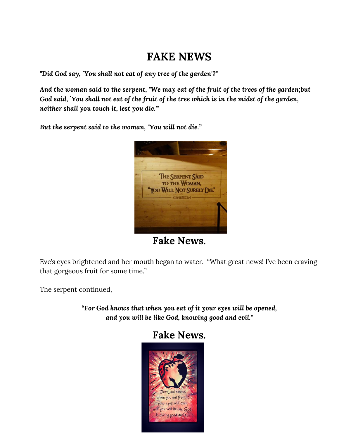# **FAKE NEWS**

*"Did God say, `You shall not eat of any tree of the garden'?"*

*And the woman said to the serpent, "We may eat of the fruit of the trees of the garden;but God said, `You shall not eat of the fruit of the tree which is in the midst of the garden, neither shall you touch it, lest you die.'"*

*But the serpent said to the woman, "You will not die."*



**Fake News.**

Eve's eyes brightened and her mouth began to water. "What great news! I've been craving that gorgeous fruit for some time."

The serpent continued,

*"For God knows that when you eat of it your eyes will be opened, and you will be like God, knowing good and evil."*

## **Fake News.**

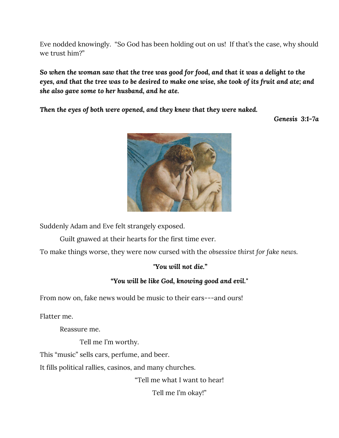Eve nodded knowingly. "So God has been holding out on us! If that's the case, why should we trust him?"

*So when the woman saw that the tree was good for food, and that it was a delight to the eyes, and that the tree was to be desired to make one wise, she took of its fruit and ate; and she also gave some to her husband, and he ate.*

*Then the eyes of both were opened, and they knew that they were naked.*

*Genesis 3:1-7a*



Suddenly Adam and Eve felt strangely exposed.

Guilt gnawed at their hearts for the first time ever.

To make things worse, they were now cursed with the *obsessive thirst for fake news.*

#### *"You will not die."*

#### *"You will be like God, knowing good and evil."*

From now on, fake news would be music to their ears---and ours!

Flatter me.

Reassure me.

Tell me I'm worthy.

This "music" sells cars, perfume, and beer.

It fills political rallies, casinos, and many churches.

"Tell me what I want to hear!

Tell me I'm okay!"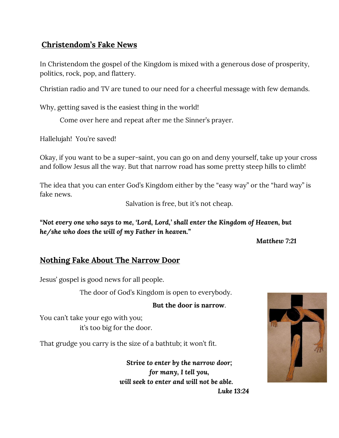## **Christendom's Fake News**

In Christendom the gospel of the Kingdom is mixed with a generous dose of prosperity, politics, rock, pop, and flattery.

Christian radio and TV are tuned to our need for a cheerful message with few demands.

Why, getting saved is the easiest thing in the world!

Come over here and repeat after me the Sinner's prayer.

Hallelujah! You're saved!

Okay, if you want to be a super-saint, you can go on and deny yourself, take up your cross and follow Jesus all the way. But that narrow road has some pretty steep hills to climb!

The idea that you can enter God's Kingdom either by the "easy way" or the "hard way" is fake news.

Salvation is free, but it's not cheap.

*"Not every one who says to me, 'Lord, Lord,' shall enter the Kingdom of Heaven, but he/she who does the will of my Father in heaven."*

*Matthew 7:21*

## **Nothing Fake About The Narrow Door**

Jesus' gospel is good news for all people.

The door of God's Kingdom is open to everybody.

**But the door is narrow**.

You can't take your ego with you; it's too big for the door.

That grudge you carry is the size of a bathtub; it won't fit.

*Strive to enter by the narrow door; for many, I tell you, will seek to enter and will not be able.*



*Luke 13:24*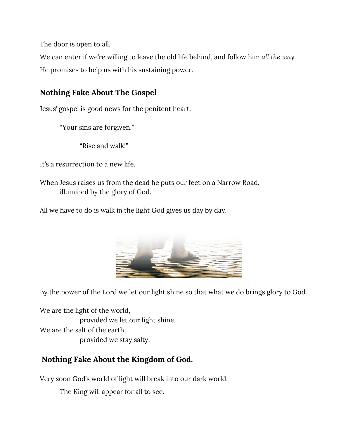The door is open to all.

We can enter if we're willing to leave the old life behind, and follow him *all the way*. He promises to help us with his sustaining power.

## **Nothing Fake About The Gospel**

Jesus' gospel is good news for the penitent heart.

"Your sins are forgiven."

"Rise and walk!"

It's a resurrection to a new life.

When Jesus raises us from the dead he puts our feet on a Narrow Road, illumined by the glory of God.

All we have to do is walk in the light God gives us day by day.



By the power of the Lord we let our light shine so that what we do brings glory to God.

We are the light of the world, provided we let our light shine. We are the salt of the earth, provided we stay salty.

## **Nothing Fake About the Kingdom of God.**

Very soon God's world of light will break into our dark world.

The King will appear for all to see.